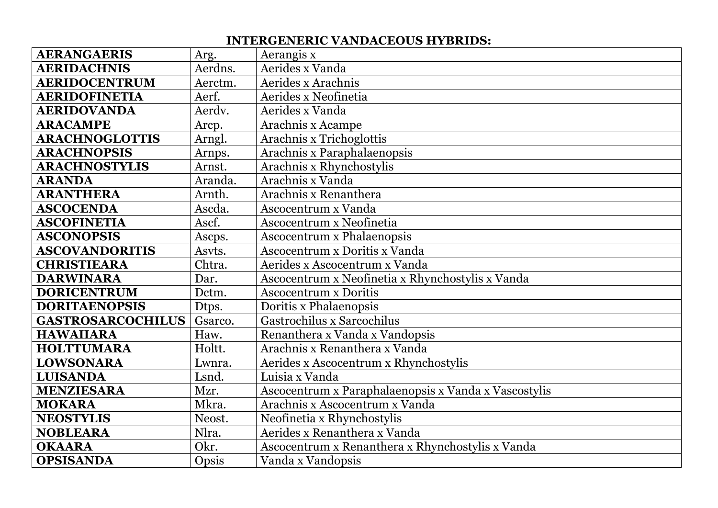## **INTERGENERIC VANDACEOUS HYBRIDS:**

| <b>AERANGAERIS</b>       | Arg.    | Aerangis x                                           |
|--------------------------|---------|------------------------------------------------------|
| <b>AERIDACHNIS</b>       | Aerdns. | Aerides x Vanda                                      |
| <b>AERIDOCENTRUM</b>     | Aerctm. | Aerides x Arachnis                                   |
| <b>AERIDOFINETIA</b>     | Aerf.   | Aerides x Neofinetia                                 |
| <b>AERIDOVANDA</b>       | Aerdv.  | Aerides x Vanda                                      |
| <b>ARACAMPE</b>          | Arcp.   | Arachnis x Acampe                                    |
| <b>ARACHNOGLOTTIS</b>    | Arngl.  | Arachnis x Trichoglottis                             |
| <b>ARACHNOPSIS</b>       | Arnps.  | Arachnis x Paraphalaenopsis                          |
| <b>ARACHNOSTYLIS</b>     | Arnst.  | Arachnis x Rhynchostylis                             |
| <b>ARANDA</b>            | Aranda. | Arachnis x Vanda                                     |
| <b>ARANTHERA</b>         | Arnth.  | Arachnis x Renanthera                                |
| <b>ASCOCENDA</b>         | Ascda.  | Ascocentrum x Vanda                                  |
| <b>ASCOFINETIA</b>       | Ascf.   | Ascocentrum x Neofinetia                             |
| <b>ASCONOPSIS</b>        | Ascps.  | <b>Ascocentrum x Phalaenopsis</b>                    |
| <b>ASCOVANDORITIS</b>    | Asvts.  | Ascocentrum x Doritis x Vanda                        |
| <b>CHRISTIEARA</b>       | Chtra.  | Aerides x Ascocentrum x Vanda                        |
| <b>DARWINARA</b>         | Dar.    | Ascocentrum x Neofinetia x Rhynchostylis x Vanda     |
| <b>DORICENTRUM</b>       | Dctm.   | <b>Ascocentrum x Doritis</b>                         |
| <b>DORITAENOPSIS</b>     | Dtps.   | Doritis x Phalaenopsis                               |
| <b>GASTROSARCOCHILUS</b> | Gsarco. | Gastrochilus x Sarcochilus                           |
| <b>HAWAIIARA</b>         | Haw.    | Renanthera x Vanda x Vandopsis                       |
| <b>HOLTTUMARA</b>        | Holtt.  | Arachnis x Renanthera x Vanda                        |
| <b>LOWSONARA</b>         | Lwnra.  | Aerides x Ascocentrum x Rhynchostylis                |
| <b>LUISANDA</b>          | Lsnd.   | Luisia x Vanda                                       |
| <b>MENZIESARA</b>        | Mzr.    | Ascocentrum x Paraphalaenopsis x Vanda x Vascostylis |
| <b>MOKARA</b>            | Mkra.   | Arachnis x Ascocentrum x Vanda                       |
| <b>NEOSTYLIS</b>         | Neost.  | Neofinetia x Rhynchostylis                           |
| <b>NOBLEARA</b>          | Nlra.   | Aerides x Renanthera x Vanda                         |
| <b>OKAARA</b>            | Okr.    | Ascocentrum x Renanthera x Rhynchostylis x Vanda     |
| <b>OPSISANDA</b>         | Opsis   | Vanda x Vandopsis                                    |